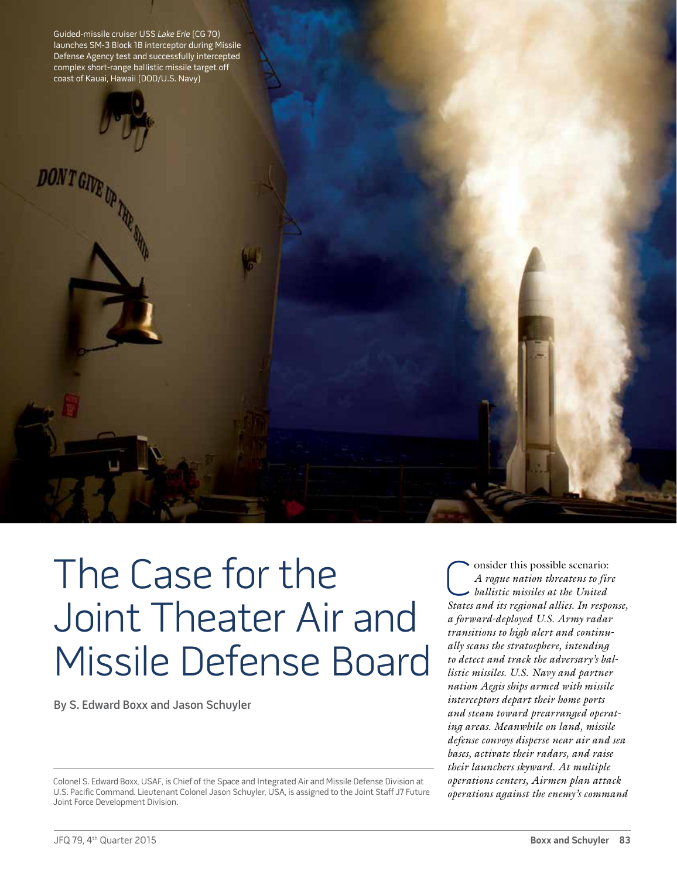Guided-missile cruiser USS Lake Erie (CG 70) launches SM-3 Block 1B interceptor during Missile Defense Agency test and successfully intercepted complex short-range ballistic missile target off coast of Kauai, Hawaii (DOD/U.S. Navy)



**ONT GIVE** 

The Case for the Joint Theater Air and Missile Defense Board

By S. Edward Boxx and Jason Schuyler

Colonel S. Edward Boxx, USAF, is Chief of the Space and Integrated Air and Missile Defense Division at U.S. Pacific Command. Lieutenant Colonel Jason Schuyler, USA, is assigned to the Joint Staff J7 Future Joint Force Development Division.

C onsider this possible scenario:<br>A rogue nation threatens to fin<br>ballistic missiles at the United<br>States and its regional allies In resp. *A rogue nation threatens to fire ballistic missiles at the United States and its regional allies. In response, a forward-deployed U.S. Army radar transitions to high alert and continually scans the stratosphere, intending to detect and track the adversary's ballistic missiles. U.S. Navy and partner nation Aegis ships armed with missile interceptors depart their home ports and steam toward prearranged operating areas. Meanwhile on land, missile defense convoys disperse near air and sea bases, activate their radars, and raise their launchers skyward. At multiple operations centers, Airmen plan attack operations against the enemy's command*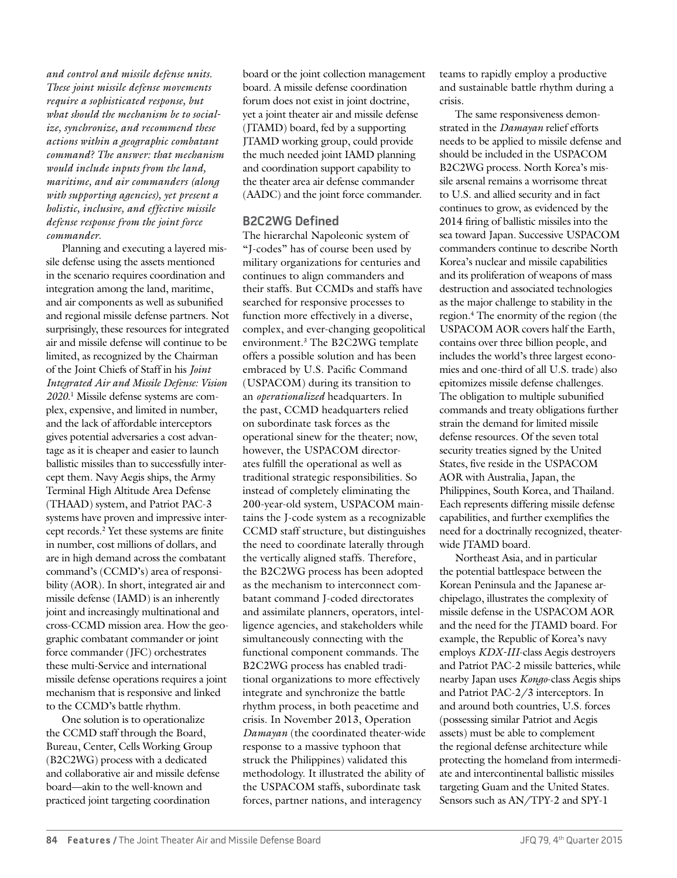*and control and missile defense units. These joint missile defense movements require a sophisticated response, but what should the mechanism be to socialize, synchronize, and recommend these actions within a geographic combatant command? The answer: that mechanism would include inputs from the land, maritime, and air commanders (along with supporting agencies), yet present a holistic, inclusive, and effective missile defense response from the joint force commander.*

Planning and executing a layered missile defense using the assets mentioned in the scenario requires coordination and integration among the land, maritime, and air components as well as subunified and regional missile defense partners. Not surprisingly, these resources for integrated air and missile defense will continue to be limited, as recognized by the Chairman of the Joint Chiefs of Staff in his *Joint Integrated Air and Missile Defense: Vision 2020*. 1 Missile defense systems are complex, expensive, and limited in number, and the lack of affordable interceptors gives potential adversaries a cost advantage as it is cheaper and easier to launch ballistic missiles than to successfully intercept them. Navy Aegis ships, the Army Terminal High Altitude Area Defense (THAAD) system, and Patriot PAC-3 systems have proven and impressive intercept records.2 Yet these systems are finite in number, cost millions of dollars, and are in high demand across the combatant command's (CCMD's) area of responsibility (AOR). In short, integrated air and missile defense (IAMD) is an inherently joint and increasingly multinational and cross-CCMD mission area. How the geographic combatant commander or joint force commander (JFC) orchestrates these multi-Service and international missile defense operations requires a joint mechanism that is responsive and linked to the CCMD's battle rhythm.

One solution is to operationalize the CCMD staff through the Board, Bureau, Center, Cells Working Group (B2C2WG) process with a dedicated and collaborative air and missile defense board—akin to the well-known and practiced joint targeting coordination

board or the joint collection management board. A missile defense coordination forum does not exist in joint doctrine, yet a joint theater air and missile defense (JTAMD) board, fed by a supporting JTAMD working group, could provide the much needed joint IAMD planning and coordination support capability to the theater area air defense commander (AADC) and the joint force commander.

## **B2C2WG Defined**

The hierarchal Napoleonic system of "J-codes" has of course been used by military organizations for centuries and continues to align commanders and their staffs. But CCMDs and staffs have searched for responsive processes to function more effectively in a diverse, complex, and ever-changing geopolitical environment.3 The B2C2WG template offers a possible solution and has been embraced by U.S. Pacific Command (USPACOM) during its transition to an *operationalized* headquarters. In the past, CCMD headquarters relied on subordinate task forces as the operational sinew for the theater; now, however, the USPACOM directorates fulfill the operational as well as traditional strategic responsibilities. So instead of completely eliminating the 200-year-old system, USPACOM maintains the J-code system as a recognizable CCMD staff structure, but distinguishes the need to coordinate laterally through the vertically aligned staffs. Therefore, the B2C2WG process has been adopted as the mechanism to interconnect combatant command J-coded directorates and assimilate planners, operators, intelligence agencies, and stakeholders while simultaneously connecting with the functional component commands. The B2C2WG process has enabled traditional organizations to more effectively integrate and synchronize the battle rhythm process, in both peacetime and crisis. In November 2013, Operation *Damayan* (the coordinated theater-wide response to a massive typhoon that struck the Philippines) validated this methodology. It illustrated the ability of the USPACOM staffs, subordinate task forces, partner nations, and interagency

teams to rapidly employ a productive and sustainable battle rhythm during a crisis.

The same responsiveness demonstrated in the *Damayan* relief efforts needs to be applied to missile defense and should be included in the USPACOM B2C2WG process. North Korea's missile arsenal remains a worrisome threat to U.S. and allied security and in fact continues to grow, as evidenced by the 2014 firing of ballistic missiles into the sea toward Japan. Successive USPACOM commanders continue to describe North Korea's nuclear and missile capabilities and its proliferation of weapons of mass destruction and associated technologies as the major challenge to stability in the region.4 The enormity of the region (the USPACOM AOR covers half the Earth, contains over three billion people, and includes the world's three largest economies and one-third of all U.S. trade) also epitomizes missile defense challenges. The obligation to multiple subunified commands and treaty obligations further strain the demand for limited missile defense resources. Of the seven total security treaties signed by the United States, five reside in the USPACOM AOR with Australia, Japan, the Philippines, South Korea, and Thailand. Each represents differing missile defense capabilities, and further exemplifies the need for a doctrinally recognized, theaterwide ITAMD board.

Northeast Asia, and in particular the potential battlespace between the Korean Peninsula and the Japanese archipelago, illustrates the complexity of missile defense in the USPACOM AOR and the need for the JTAMD board. For example, the Republic of Korea's navy employs *KDX-III*-class Aegis destroyers and Patriot PAC-2 missile batteries, while nearby Japan uses *Kongo*-class Aegis ships and Patriot PAC-2/3 interceptors. In and around both countries, U.S. forces (possessing similar Patriot and Aegis assets) must be able to complement the regional defense architecture while protecting the homeland from intermediate and intercontinental ballistic missiles targeting Guam and the United States. Sensors such as AN/TPY-2 and SPY-1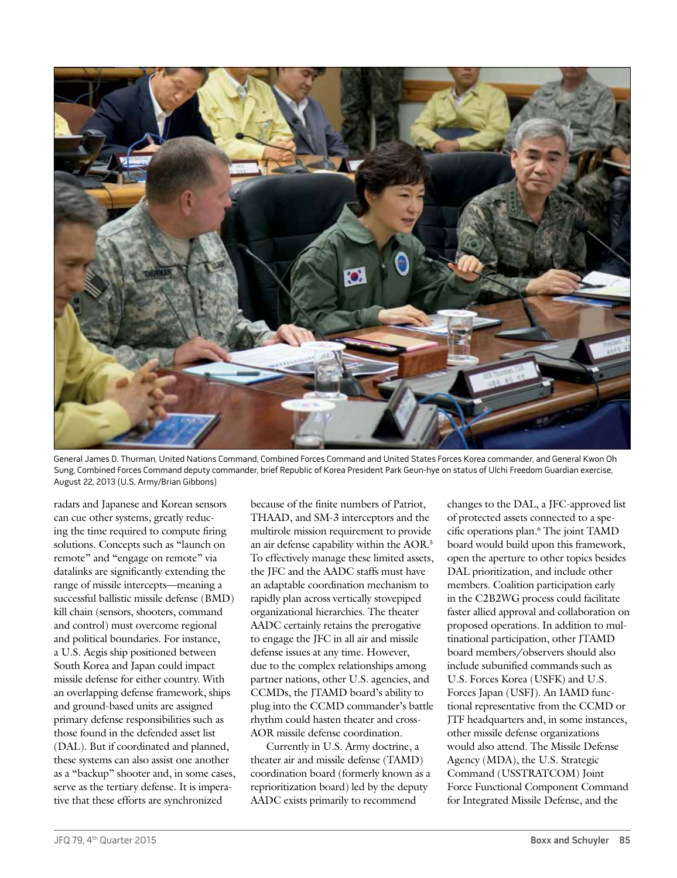

General James D. Thurman, United Nations Command, Combined Forces Command and United States Forces Korea commander, and General Kwon Oh Sung, Combined Forces Command deputy commander, brief Republic of Korea President Park Geun-hye on status of Ulchi Freedom Guardian exercise, August 22, 2013 (U.S. Army/Brian Gibbons)

radars and Japanese and Korean sensors can cue other systems, greatly reducing the time required to compute firing solutions. Concepts such as "launch on remote" and "engage on remote" via datalinks are significantly extending the range of missile intercepts—meaning a successful ballistic missile defense (BMD) kill chain (sensors, shooters, command and control) must overcome regional and political boundaries. For instance, a U.S. Aegis ship positioned between South Korea and Japan could impact missile defense for either country. With an overlapping defense framework, ships and ground-based units are assigned primary defense responsibilities such as those found in the defended asset list (DAL). But if coordinated and planned, these systems can also assist one another as a "backup" shooter and, in some cases, serve as the tertiary defense. It is imperative that these efforts are synchronized

because of the finite numbers of Patriot, THAAD, and SM-3 interceptors and the multirole mission requirement to provide an air defense capability within the AOR.5 To effectively manage these limited assets, the JFC and the AADC staffs must have an adaptable coordination mechanism to rapidly plan across vertically stovepiped organizational hierarchies. The theater AADC certainly retains the prerogative to engage the JFC in all air and missile defense issues at any time. However, due to the complex relationships among partner nations, other U.S. agencies, and CCMDs, the JTAMD board's ability to plug into the CCMD commander's battle rhythm could hasten theater and cross-AOR missile defense coordination.

Currently in U.S. Army doctrine, a theater air and missile defense (TAMD) coordination board (formerly known as a reprioritization board) led by the deputy AADC exists primarily to recommend

changes to the DAL, a JFC-approved list of protected assets connected to a specific operations plan.6 The joint TAMD board would build upon this framework, open the aperture to other topics besides DAL prioritization, and include other members. Coalition participation early in the C2B2WG process could facilitate faster allied approval and collaboration on proposed operations. In addition to multinational participation, other JTAMD board members/observers should also include subunified commands such as U.S. Forces Korea (USFK) and U.S. Forces Japan (USFJ). An IAMD functional representative from the CCMD or JTF headquarters and, in some instances, other missile defense organizations would also attend. The Missile Defense Agency (MDA), the U.S. Strategic Command (USSTRATCOM) Joint Force Functional Component Command for Integrated Missile Defense, and the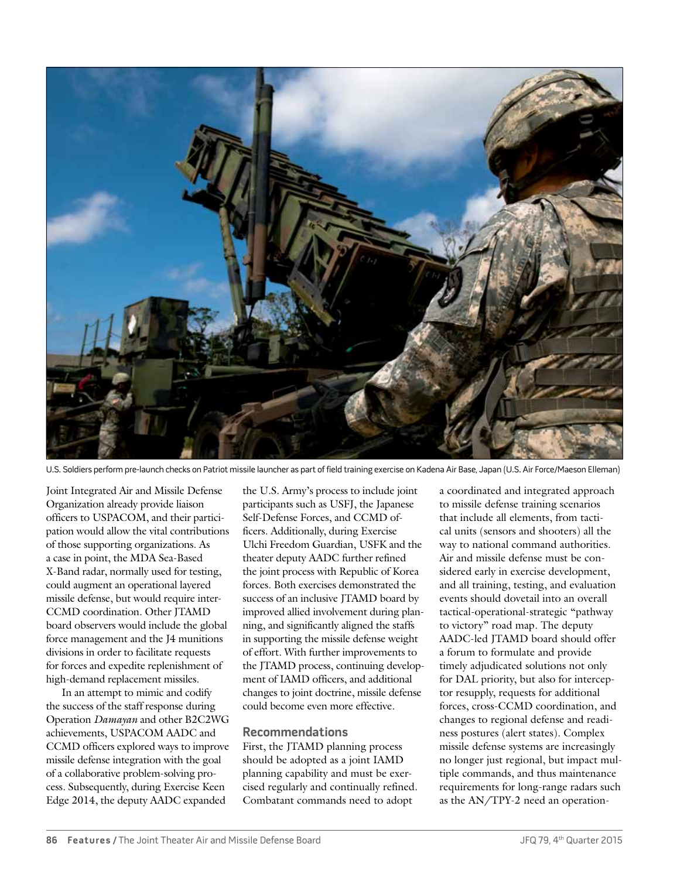

U.S. Soldiers perform pre-launch checks on Patriot missile launcher as part of field training exercise on Kadena Air Base, Japan (U.S. Air Force/Maeson Elleman)

Joint Integrated Air and Missile Defense Organization already provide liaison officers to USPACOM, and their participation would allow the vital contributions of those supporting organizations. As a case in point, the MDA Sea-Based X-Band radar, normally used for testing, could augment an operational layered missile defense, but would require inter-CCMD coordination. Other ITAMD board observers would include the global force management and the J4 munitions divisions in order to facilitate requests for forces and expedite replenishment of high-demand replacement missiles.

In an attempt to mimic and codify the success of the staff response during Operation *Damayan* and other B2C2WG achievements, USPACOM AADC and CCMD officers explored ways to improve missile defense integration with the goal of a collaborative problem-solving process. Subsequently, during Exercise Keen Edge 2014, the deputy AADC expanded

the U.S. Army's process to include joint participants such as USFJ, the Japanese Self-Defense Forces, and CCMD officers. Additionally, during Exercise Ulchi Freedom Guardian, USFK and the theater deputy AADC further refined the joint process with Republic of Korea forces. Both exercises demonstrated the success of an inclusive JTAMD board by improved allied involvement during planning, and significantly aligned the staffs in supporting the missile defense weight of effort. With further improvements to the JTAMD process, continuing development of IAMD officers, and additional changes to joint doctrine, missile defense could become even more effective.

## **Recommendations**

First, the JTAMD planning process should be adopted as a joint IAMD planning capability and must be exercised regularly and continually refined. Combatant commands need to adopt

a coordinated and integrated approach to missile defense training scenarios that include all elements, from tactical units (sensors and shooters) all the way to national command authorities. Air and missile defense must be considered early in exercise development, and all training, testing, and evaluation events should dovetail into an overall tactical-operational-strategic "pathway to victory" road map. The deputy AADC-led JTAMD board should offer a forum to formulate and provide timely adjudicated solutions not only for DAL priority, but also for interceptor resupply, requests for additional forces, cross-CCMD coordination, and changes to regional defense and readiness postures (alert states). Complex missile defense systems are increasingly no longer just regional, but impact multiple commands, and thus maintenance requirements for long-range radars such as the AN/TPY-2 need an operation-